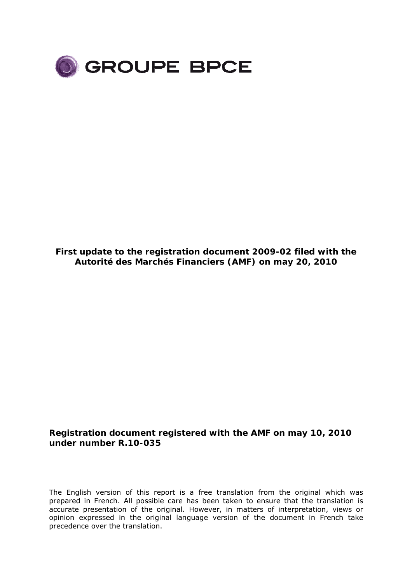

**First update to the registration document 2009-02 filed with the Autorité des Marchés Financiers (AMF) on may 20, 2010** 

### **Registration document registered with the AMF on may 10, 2010 under number R.10-035**

The English version of this report is a free translation from the original which was prepared in French. All possible care has been taken to ensure that the translation is accurate presentation of the original. However, in matters of interpretation, views or opinion expressed in the original language version of the document in French take precedence over the translation.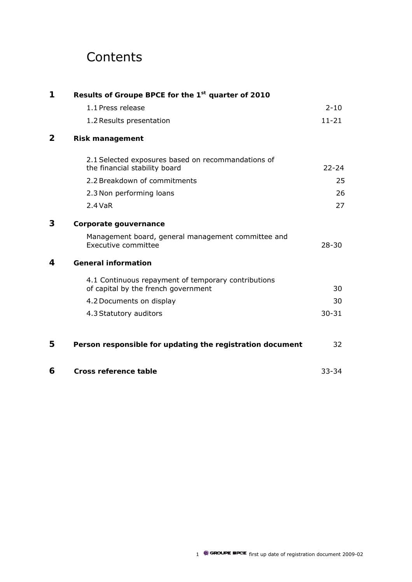# **Contents**

| 1                | Results of Groupe BPCE for the 1 <sup>st</sup> quarter of 2010                             |           |
|------------------|--------------------------------------------------------------------------------------------|-----------|
|                  | 1.1 Press release                                                                          | $2 - 10$  |
|                  | 1.2 Results presentation                                                                   | $11 - 21$ |
| 2                | <b>Risk management</b>                                                                     |           |
|                  | 2.1 Selected exposures based on recommandations of<br>the financial stability board        | $22 - 24$ |
|                  | 2.2 Breakdown of commitments                                                               | 25        |
|                  | 2.3 Non performing loans                                                                   | 26        |
|                  | $2.4$ VaR                                                                                  | 27        |
| 3                | Corporate gouvernance                                                                      |           |
|                  | Management board, general management committee and<br>Executive committee                  | $28 - 30$ |
| $\boldsymbol{4}$ | <b>General information</b>                                                                 |           |
|                  | 4.1 Continuous repayment of temporary contributions<br>of capital by the french government | 30        |
|                  | 4.2 Documents on display                                                                   | 30        |
|                  | 4.3 Statutory auditors                                                                     | $30 - 31$ |
| 5                | Person responsible for updating the registration document                                  | 32        |
| 6                | Cross reference table                                                                      | $33 - 34$ |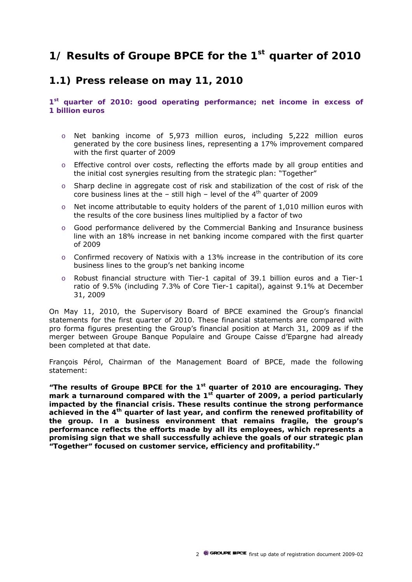# **1/ Results of Groupe BPCE for the 1st quarter of 2010**

### **1.1) Press release on may 11, 2010**

**1st quarter of 2010: good operating performance; net income in excess of 1 billion euros** 

- o Net banking income of 5,973 million euros, including 5,222 million euros generated by the core business lines, representing a 17% improvement compared with the first quarter of 2009
- $\circ$  Effective control over costs, reflecting the efforts made by all group entities and the initial cost synergies resulting from the strategic plan: "Together"
- $\circ$  Sharp decline in aggregate cost of risk and stabilization of the cost of risk of the core business lines at the  $-$  still high  $-$  level of the  $4<sup>th</sup>$  quarter of 2009
- o Net income attributable to equity holders of the parent of 1,010 million euros with the results of the core business lines multiplied by a factor of two
- o Good performance delivered by the Commercial Banking and Insurance business line with an 18% increase in net banking income compared with the first quarter of 2009
- $\circ$  Confirmed recovery of Natixis with a 13% increase in the contribution of its core business lines to the group's net banking income
- o Robust financial structure with Tier-1 capital of 39.1 billion euros and a Tier-1 ratio of 9.5% (including 7.3% of Core Tier-1 capital), against 9.1% at December 31, 2009

On May 11, 2010, the Supervisory Board of BPCE examined the Group's financial statements for the first quarter of 2010. These financial statements are compared with pro forma figures presenting the Group's financial position at March 31, 2009 as if the merger between Groupe Banque Populaire and Groupe Caisse d'Epargne had already been completed at that date.

François Pérol, Chairman of the Management Board of BPCE, made the following statement:

*"The results of Groupe BPCE for the 1st quarter of 2010 are encouraging. They mark a turnaround compared with the 1st quarter of 2009, a period particularly impacted by the financial crisis. These results continue the strong performance achieved in the 4th quarter of last year, and confirm the renewed profitability of the group. In a business environment that remains fragile, the group's performance reflects the efforts made by all its employees, which represents a promising sign that we shall successfully achieve the goals of our strategic plan "Together" focused on customer service, efficiency and profitability."*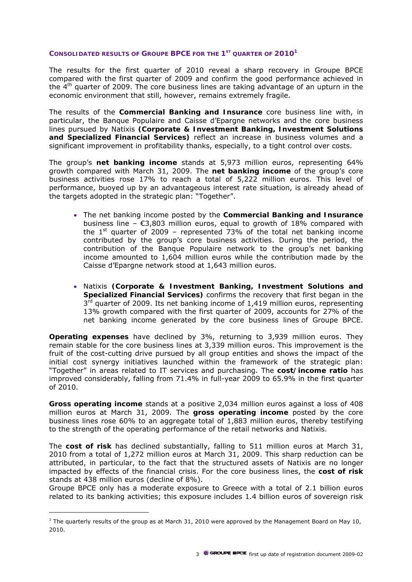### **CONSOLIDATED RESULTS OF GROUPE BPCE FOR THE 1ST QUARTER OF 20101**

The results for the first quarter of 2010 reveal a sharp recovery in Groupe BPCE compared with the first quarter of 2009 and confirm the good performance achieved in the  $4<sup>th</sup>$  quarter of 2009. The core business lines are taking advantage of an upturn in the economic environment that still, however, remains extremely fragile.

The results of the **Commercial Banking and Insurance** core business line with, in particular, the Banque Populaire and Caisse d'Epargne networks and the core business lines pursued by Natixis **(Corporate & Investment Banking, Investment Solutions and Specialized Financial Services)** reflect an increase in business volumes and a significant improvement in profitability thanks, especially, to a tight control over costs.

The group's **net banking income** stands at 5,973 million euros, representing 64% growth compared with March 31, 2009. The **net banking income** of the group's core business activities rose 17% to reach a total of 5,222 million euros. This level of performance, buoyed up by an advantageous interest rate situation, is already ahead of the targets adopted in the strategic plan: "Together".

- The net banking income posted by the **Commercial Banking and Insurance** business line –  $\epsilon$ 3,803 million euros, equal to growth of 18% compared with the  $1<sup>st</sup>$  quarter of 2009 – represented 73% of the total net banking income contributed by the group's core business activities. During the period, the contribution of the Banque Populaire network to the group's net banking income amounted to 1,604 million euros while the contribution made by the Caisse d'Epargne network stood at 1,643 million euros.
- Natixis **(Corporate & Investment Banking, Investment Solutions and Specialized Financial Services)** confirms the recovery that first began in the  $3<sup>rd</sup>$  quarter of 2009. Its net banking income of 1,419 million euros, representing 13% growth compared with the first quarter of 2009, accounts for 27% of the net banking income generated by the core business lines of Groupe BPCE.

**Operating expenses** have declined by 3%, returning to 3,939 million euros. They remain stable for the core business lines at 3,339 million euros. This improvement is the fruit of the cost-cutting drive pursued by all group entities and shows the impact of the initial cost synergy initiatives launched within the framework of the strategic plan: "Together" in areas related to IT services and purchasing. The **cost/income ratio** has improved considerably, falling from 71.4% in full-year 2009 to 65.9% in the first quarter of 2010.

**Gross operating income** stands at a positive 2,034 million euros against a loss of 408 million euros at March 31, 2009. The **gross operating income** posted by the core business lines rose 60% to an aggregate total of 1,883 million euros, thereby testifying to the strength of the operating performance of the retail networks and Natixis.

The **cost of risk** has declined substantially, falling to 511 million euros at March 31, 2010 from a total of 1,272 million euros at March 31, 2009. This sharp reduction can be attributed, in particular, to the fact that the structured assets of Natixis are no longer impacted by effects of the financial crisis. For the core business lines, the **cost of risk** stands at 438 million euros (decline of 8%).

Groupe BPCE only has a moderate exposure to Greece with a total of 2.1 billion euros related to its banking activities; this exposure includes 1.4 billion euros of sovereign risk

 $\overline{a}$ 

 $<sup>1</sup>$  The quarterly results of the group as at March 31, 2010 were approved by the Management Board on May 10,</sup> 2010.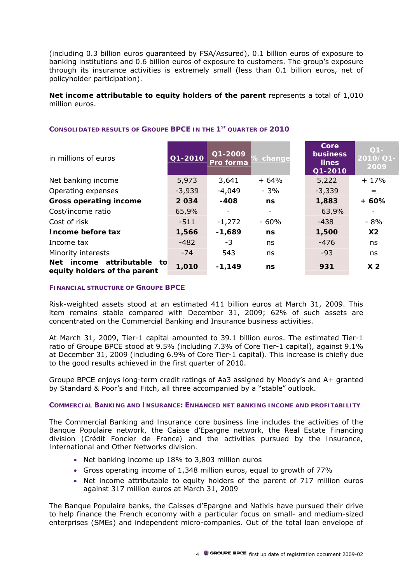(including 0.3 billion euros guaranteed by FSA/Assured), 0.1 billion euros of exposure to banking institutions and 0.6 billion euros of exposure to customers. The group's exposure through its insurance activities is extremely small (less than 0.1 billion euros, net of policyholder participation).

#### **Net income attributable to equity holders of the parent** represents a total of 1,010 million euros.

| in millions of euros                                             | Q1-2010  | Q1-2009<br>Pro forma | % change | Core<br><b>business</b><br><b>lines</b><br>Q1-2010 | $Q1 -$<br>2010/01-<br>2009 |
|------------------------------------------------------------------|----------|----------------------|----------|----------------------------------------------------|----------------------------|
| Net banking income                                               | 5,973    | 3,641                | $+64%$   | 5,222                                              | $+17%$                     |
| Operating expenses                                               | $-3,939$ | $-4,049$             | $-3%$    | $-3,339$                                           | $=$                        |
| <b>Gross operating income</b>                                    | 2034     | $-408$               | ns       | 1,883                                              | + 60%                      |
| Cost/income ratio                                                | 65,9%    |                      |          | 63,9%                                              |                            |
| Cost of risk                                                     | -511     | $-1,272$             | $-60%$   | -438                                               | $-8%$                      |
| Income before tax                                                | 1,566    | -1,689               | ns       | 1,500                                              | X2                         |
| Income tax                                                       | -482     | $-3$                 | ns       | -476                                               | ns                         |
| Minority interests                                               | $-74$    | 543                  | ns       | $-93$                                              | ns                         |
| attributable to<br>Net<br>income<br>equity holders of the parent | 1,010    | $-1,149$             | ns       | 931                                                | X <sub>2</sub>             |

### **CONSOLIDATED RESULTS OF GROUPE BPCE IN THE 1ST QUARTER OF 2010**

#### **FINANCIAL STRUCTURE OF GROUPE BPCE**

Risk-weighted assets stood at an estimated 411 billion euros at March 31, 2009. This item remains stable compared with December 31, 2009; 62% of such assets are concentrated on the Commercial Banking and Insurance business activities.

At March 31, 2009, Tier-1 capital amounted to 39.1 billion euros. The estimated Tier-1 ratio of Groupe BPCE stood at 9.5% (including 7.3% of Core Tier-1 capital), against 9.1% at December 31, 2009 (including 6.9% of Core Tier-1 capital). This increase is chiefly due to the good results achieved in the first quarter of 2010.

Groupe BPCE enjoys long-term credit ratings of Aa3 assigned by Moody's and A+ granted by Standard & Poor's and Fitch, all three accompanied by a "stable" outlook.

#### **COMMERCIAL BANKING AND INSURANCE: ENHANCED NET BANKING INCOME AND PROFITABILITY**

*The Commercial Banking and Insurance core business line includes the activities of the Banque Populaire network, the Caisse d'Epargne network, the Real Estate Financing division (Crédit Foncier de France) and the activities pursued by the Insurance, International and Other Networks division.* 

- Net banking income up 18% to 3,803 million euros
- Gross operating income of 1,348 million euros, equal to growth of 77%
- Net income attributable to equity holders of the parent of 717 million euros against 317 million euros at March 31, 2009

The Banque Populaire banks, the Caisses d'Epargne and Natixis have pursued their drive to help finance the French economy with a particular focus on small- and medium-sized enterprises (SMEs) and independent micro-companies. Out of the total loan envelope of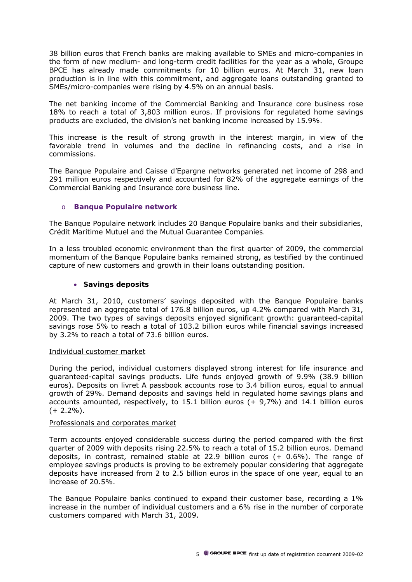38 billion euros that French banks are making available to SMEs and micro-companies in the form of new medium- and long-term credit facilities for the year as a whole, Groupe BPCE has already made commitments for 10 billion euros. At March 31, new loan production is in line with this commitment, and aggregate loans outstanding granted to SMEs/micro-companies were rising by 4.5% on an annual basis.

The net banking income of the Commercial Banking and Insurance core business rose 18% to reach a total of 3,803 million euros. If provisions for regulated home savings products are excluded, the division's net banking income increased by 15.9%.

This increase is the result of strong growth in the interest margin, in view of the favorable trend in volumes and the decline in refinancing costs, and a rise in commissions.

The Banque Populaire and Caisse d'Epargne networks generated net income of 298 and 291 million euros respectively and accounted for 82% of the aggregate earnings of the Commercial Banking and Insurance core business line.

### o **Banque Populaire network**

*The Banque Populaire network includes 20 Banque Populaire banks and their subsidiaries, Crédit Maritime Mutuel and the Mutual Guarantee Companies.* 

In a less troubled economic environment than the first quarter of 2009, the commercial momentum of the Banque Populaire banks remained strong, as testified by the continued capture of new customers and growth in their loans outstanding position.

### • **Savings deposits**

At March 31, 2010, customers' savings deposited with the Banque Populaire banks represented an aggregate total of 176.8 billion euros, up 4.2% compared with March 31, 2009. The two types of savings deposits enjoyed significant growth: guaranteed-capital savings rose 5% to reach a total of 103.2 billion euros while financial savings increased by 3.2% to reach a total of 73.6 billion euros.

### Individual customer market

During the period, individual customers displayed strong interest for life insurance and guaranteed-capital savings products. Life funds enjoyed growth of 9.9% (38.9 billion euros). Deposits on *livret A* passbook accounts rose to 3.4 billion euros, equal to annual growth of 29%. Demand deposits and savings held in regulated home savings plans and accounts amounted, respectively, to  $15.1$  billion euros (+ 9,7%) and  $14.1$  billion euros  $(+ 2.2\%)$ .

### Professionals and corporates market

Term accounts enjoyed considerable success during the period compared with the first quarter of 2009 with deposits rising 22.5% to reach a total of 15.2 billion euros. Demand deposits, in contrast, remained stable at 22.9 billion euros (+ 0.6%). The range of employee savings products is proving to be extremely popular considering that aggregate deposits have increased from 2 to 2.5 billion euros in the space of one year, equal to an increase of 20.5%.

The Banque Populaire banks continued to expand their customer base, recording a 1% increase in the number of individual customers and a 6% rise in the number of corporate customers compared with March 31, 2009.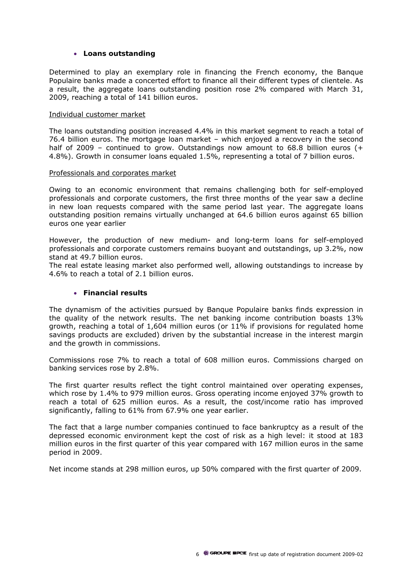#### • **Loans outstanding**

Determined to play an exemplary role in financing the French economy, the Banque Populaire banks made a concerted effort to finance all their different types of clientele. As a result, the aggregate loans outstanding position rose 2% compared with March 31, 2009, reaching a total of 141 billion euros.

#### Individual customer market

The loans outstanding position increased 4.4% in this market segment to reach a total of 76.4 billion euros. The mortgage loan market – which enjoyed a recovery in the second half of 2009 – continued to grow. Outstandings now amount to 68.8 billion euros (+ 4.8%). Growth in consumer loans equaled 1.5%, representing a total of 7 billion euros.

#### Professionals and corporates market

Owing to an economic environment that remains challenging both for self-employed professionals and corporate customers, the first three months of the year saw a decline in new loan requests compared with the same period last year. The aggregate loans outstanding position remains virtually unchanged at 64.6 billion euros against 65 billion euros one year earlier

However, the production of new medium- and long-term loans for self-employed professionals and corporate customers remains buoyant and outstandings, up 3.2%, now stand at 49.7 billion euros.

The real estate leasing market also performed well, allowing outstandings to increase by 4.6% to reach a total of 2.1 billion euros.

### • **Financial results**

The dynamism of the activities pursued by Banque Populaire banks finds expression in the quality of the network results. The net banking income contribution boasts 13% growth, reaching a total of 1,604 million euros (or 11% if provisions for regulated home savings products are excluded) driven by the substantial increase in the interest margin and the growth in commissions.

Commissions rose 7% to reach a total of 608 million euros. Commissions charged on banking services rose by 2.8%.

The first quarter results reflect the tight control maintained over operating expenses, which rose by 1.4% to 979 million euros. Gross operating income enjoyed 37% growth to reach a total of 625 million euros. As a result, the cost/income ratio has improved significantly, falling to 61% from 67.9% one year earlier.

The fact that a large number companies continued to face bankruptcy as a result of the depressed economic environment kept the cost of risk as a high level: it stood at 183 million euros in the first quarter of this year compared with 167 million euros in the same period in 2009.

Net income stands at 298 million euros, up 50% compared with the first quarter of 2009.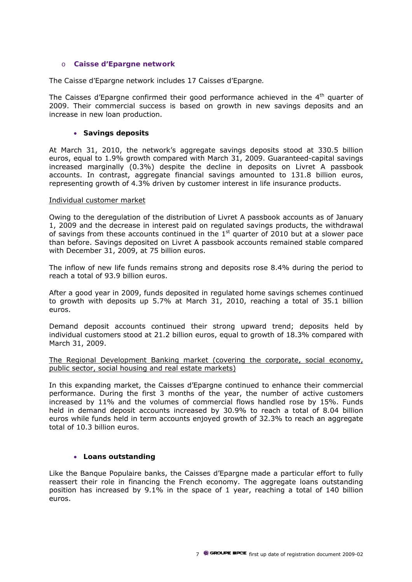#### o **Caisse d'Epargne network**

#### *The Caisse d'Epargne network includes 17 Caisses d'Epargne.*

The Caisses d'Epargne confirmed their good performance achieved in the  $4<sup>th</sup>$  quarter of 2009. Their commercial success is based on growth in new savings deposits and an increase in new loan production.

#### • **Savings deposits**

At March 31, 2010, the network's aggregate savings deposits stood at 330.5 billion euros, equal to 1.9% growth compared with March 31, 2009. Guaranteed-capital savings increased marginally (0.3%) despite the decline in deposits on *Livret A* passbook accounts. In contrast, aggregate financial savings amounted to 131.8 billion euros, representing growth of 4.3% driven by customer interest in life insurance products.

#### Individual customer market

Owing to the deregulation of the distribution of *Livret A* passbook accounts as of January 1, 2009 and the decrease in interest paid on regulated savings products, the withdrawal of savings from these accounts continued in the  $1<sup>st</sup>$  quarter of 2010 but at a slower pace than before. Savings deposited on *Livret A* passbook accounts remained stable compared with December 31, 2009, at 75 billion euros.

The inflow of new life funds remains strong and deposits rose 8.4% during the period to reach a total of 93.9 billion euros.

After a good year in 2009, funds deposited in regulated home savings schemes continued to growth with deposits up 5.7% at March 31, 2010, reaching a total of 35.1 billion euros.

Demand deposit accounts continued their strong upward trend; deposits held by individual customers stood at 21.2 billion euros, equal to growth of 18.3% compared with March 31, 2009.

The Regional Development Banking market (covering the corporate, social economy, public sector, social housing and real estate markets)

In this expanding market, the Caisses d'Epargne continued to enhance their commercial performance. During the first 3 months of the year, the number of active customers increased by 11% and the volumes of commercial flows handled rose by 15%. Funds held in demand deposit accounts increased by 30.9% to reach a total of 8.04 billion euros while funds held in term accounts enjoyed growth of 32.3% to reach an aggregate total of 10.3 billion euros.

### • **Loans outstanding**

Like the Banque Populaire banks, the Caisses d'Epargne made a particular effort to fully reassert their role in financing the French economy. The aggregate loans outstanding position has increased by 9.1% in the space of 1 year, reaching a total of 140 billion euros.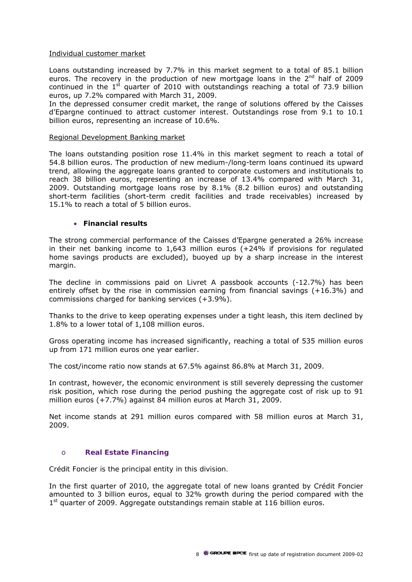### Individual customer market

Loans outstanding increased by 7.7% in this market segment to a total of 85.1 billion euros. The recovery in the production of new mortgage loans in the  $2<sup>nd</sup>$  half of 2009 continued in the  $1<sup>st</sup>$  quarter of 2010 with outstandings reaching a total of 73.9 billion euros, up 7.2% compared with March 31, 2009.

In the depressed consumer credit market, the range of solutions offered by the Caisses d'Epargne continued to attract customer interest. Outstandings rose from 9.1 to 10.1 billion euros, representing an increase of 10.6%.

#### Regional Development Banking market

The loans outstanding position rose 11.4% in this market segment to reach a total of 54.8 billion euros. The production of new medium-/long-term loans continued its upward trend, allowing the aggregate loans granted to corporate customers and institutionals to reach 38 billion euros, representing an increase of 13.4% compared with March 31, 2009. Outstanding mortgage loans rose by 8.1% (8.2 billion euros) and outstanding short-term facilities (short-term credit facilities and trade receivables) increased by 15.1% to reach a total of 5 billion euros.

#### • **Financial results**

The strong commercial performance of the Caisses d'Epargne generated a 26% increase in their net banking income to 1,643 million euros (+24% if provisions for regulated home savings products are excluded), buoyed up by a sharp increase in the interest margin.

The decline in commissions paid on *Livret A* passbook accounts (-12.7%) has been entirely offset by the rise in commission earning from financial savings (+16.3%) and commissions charged for banking services (+3.9%).

Thanks to the drive to keep operating expenses under a tight leash, this item declined by 1.8% to a lower total of 1,108 million euros.

Gross operating income has increased significantly, reaching a total of 535 million euros up from 171 million euros one year earlier.

The cost/income ratio now stands at 67.5% against 86.8% at March 31, 2009.

In contrast, however, the economic environment is still severely depressing the customer risk position, which rose during the period pushing the aggregate cost of risk up to 91 million euros (+7.7%) against 84 million euros at March 31, 2009.

Net income stands at 291 million euros compared with 58 million euros at March 31, 2009.

### o **Real Estate Financing**

*Crédit Foncier is the principal entity in this division.* 

In the first quarter of 2010, the aggregate total of new loans granted by Crédit Foncier amounted to 3 billion euros, equal to 32% growth during the period compared with the  $1<sup>st</sup>$  quarter of 2009. Aggregate outstandings remain stable at 116 billion euros.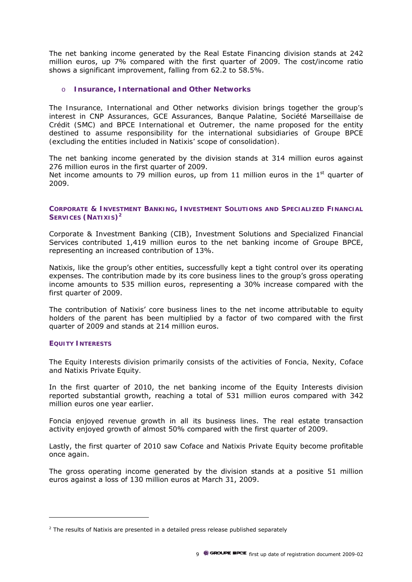The net banking income generated by the Real Estate Financing division stands at 242 million euros, up 7% compared with the first quarter of 2009. The cost/income ratio shows a significant improvement, falling from 62.2 to 58.5%.

#### o **Insurance, International and Other Networks**

*The Insurance, International and Other networks division brings together the group's interest in CNP Assurances, GCE Assurances, Banque Palatine, Société Marseillaise de Crédit (SMC) and BPCE International et Outremer, the name proposed for the entity destined to assume responsibility for the international subsidiaries of Groupe BPCE (excluding the entities included in Natixis' scope of consolidation).* 

The net banking income generated by the division stands at 314 million euros against 276 million euros in the first quarter of 2009. Net income amounts to 79 million euros, up from 11 million euros in the  $1<sup>st</sup>$  quarter of 2009.

#### **CORPORATE & INVESTMENT BANKING, INVESTMENT SOLUTIONS AND SPECIALIZED FINANCIAL SERVICES (NATIXIS)<sup>2</sup>**

Corporate & Investment Banking (CIB), Investment Solutions and Specialized Financial Services contributed 1,419 million euros to the net banking income of Groupe BPCE, representing an increased contribution of 13%.

Natixis, like the group's other entities, successfully kept a tight control over its operating expenses. The contribution made by its core business lines to the group's gross operating income amounts to 535 million euros, representing a 30% increase compared with the first quarter of 2009.

The contribution of Natixis' core business lines to the net income attributable to equity holders of the parent has been multiplied by a factor of two compared with the first quarter of 2009 and stands at 214 million euros.

#### **EQUITY INTERESTS**

 $\overline{a}$ 

*The Equity Interests division primarily consists of the activities of Foncia, Nexity, Coface and Natixis Private Equity.* 

In the first quarter of 2010, the net banking income of the Equity Interests division reported substantial growth, reaching a total of 531 million euros compared with 342 million euros one year earlier.

Foncia enjoyed revenue growth in all its business lines. The real estate transaction activity enjoyed growth of almost 50% compared with the first quarter of 2009.

Lastly, the first quarter of 2010 saw Coface and Natixis Private Equity become profitable once again.

The gross operating income generated by the division stands at a positive 51 million euros against a loss of 130 million euros at March 31, 2009.

 $2$  The results of Natixis are presented in a detailed press release published separately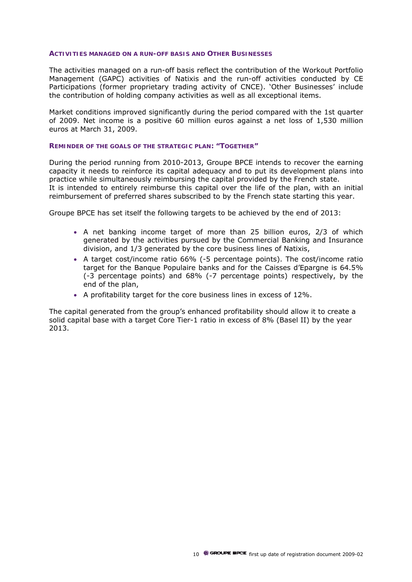#### **ACTIVITIES MANAGED ON A RUN-OFF BASIS AND OTHER BUSINESSES**

The activities managed on a run-off basis reflect the contribution of the Workout Portfolio Management (GAPC) activities of Natixis and the run-off activities conducted by CE Participations (former proprietary trading activity of CNCE). 'Other Businesses' include the contribution of holding company activities as well as all exceptional items.

Market conditions improved significantly during the period compared with the 1st quarter of 2009. Net income is a positive 60 million euros against a net loss of 1,530 million euros at March 31, 2009.

#### **REMINDER OF THE GOALS OF THE STRATEGIC PLAN: "TOGETHER"**

During the period running from 2010-2013, Groupe BPCE intends to recover the earning capacity it needs to reinforce its capital adequacy and to put its development plans into practice while simultaneously reimbursing the capital provided by the French state. It is intended to entirely reimburse this capital over the life of the plan, with an initial reimbursement of preferred shares subscribed to by the French state starting this year.

Groupe BPCE has set itself the following targets to be achieved by the end of 2013:

- A net banking income target of more than 25 billion euros, 2/3 of which generated by the activities pursued by the Commercial Banking and Insurance division, and 1/3 generated by the core business lines of Natixis,
- A target cost/income ratio 66% (-5 percentage points). The cost/income ratio target for the Banque Populaire banks and for the Caisses d'Epargne is 64.5% (-3 percentage points) and 68% (-7 percentage points) respectively, by the end of the plan,
- A profitability target for the core business lines in excess of 12%.

The capital generated from the group's enhanced profitability should allow it to create a solid capital base with a target Core Tier-1 ratio in excess of 8% (Basel II) by the year 2013.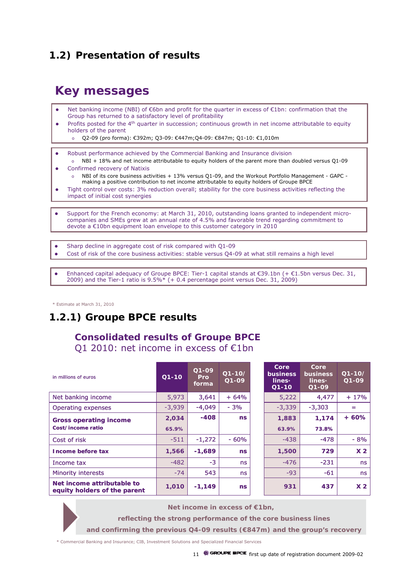# **1.2) Presentation of results**

# **Key messages**

- Net banking income (NBI) of €6bn and profit for the quarter in excess of €1bn: confirmation that the Group has returned to a satisfactory level of profitability
- Profits posted for the 4<sup>th</sup> quarter in succession; continuous growth in net income attributable to equity holders of the parent
	- Q2-09 (pro forma): €392m; Q3-09: €447m;Q4-09: €847m; Q1-10: €1,010m
- Robust performance achieved by the Commercial Banking and Insurance division

o NBI + 18% and net income attributable to equity holders of the parent more than doubled versus Q1-09 Confirmed recovery of Natixis

- NBI of its core business activities  $+ 13%$  versus Q1-09, and the Workout Portfolio Management GAPC making a positive contribution to net income attributable to equity holders of Groupe BPCE
- Tight control over costs: 3% reduction overall; stability for the core business activities reflecting the impact of initial cost synergies
- Support for the French economy: at March 31, 2010, outstanding loans granted to independent microcompanies and SMEs grew at an annual rate of 4.5% and favorable trend regarding commitment to devote a €10bn equipment loan envelope to this customer category in 2010
- Sharp decline in aggregate cost of risk compared with Q1-09
- Cost of risk of the core business activities: stable versus O4-09 at what still remains a high level
- Enhanced capital adequacy of Groupe BPCE: Tier-1 capital stands at €39.1bn (+ €1.5bn versus Dec. 31, 2009) and the Tier-1 ratio is  $9.5\% * (+ 0.4$  percentage point versus Dec. 31, 2009)

\* Estimate at March 31, 2010

# **1.2.1) Groupe BPCE results**

### **Consolidated results of Groupe BPCE** Q1 2010: net income in excess of €1bn

| in millions of euros                                       | $Q1-10$  | $Q1-09$<br><b>Pro</b><br>forma | $Q1-10/$<br>$Q1 - Q9$ | Core<br><b>business</b><br>lines*<br>$Q1 - 10$ | Core<br><b>business</b><br>$lines*$<br>$Q1-09$ | $Q1 - 10/$<br>$Q1 - Q9$ |
|------------------------------------------------------------|----------|--------------------------------|-----------------------|------------------------------------------------|------------------------------------------------|-------------------------|
| Net banking income                                         | 5,973    | 3,641                          | $+64%$                | 5,222                                          | 4.477                                          | $+17%$                  |
| Operating expenses                                         | $-3,939$ | $-4,049$                       | $-3%$                 | $-3,339$                                       | $-3,303$                                       | =                       |
| <b>Gross operating income</b>                              | 2.034    | $-408$                         | ns                    | 1,883                                          | 1,174                                          | $+60%$                  |
| Cost/income ratio                                          | 65.9%    |                                |                       | 63.9%                                          | 73.8%                                          |                         |
| Cost of risk                                               | $-511$   | $-1.272$                       | $-60%$                | $-438$                                         | $-478$                                         | $-8%$                   |
| <b>Income before tax</b>                                   | 1,566    | $-1,689$                       | ns                    | 1,500                                          | 729                                            | X <sub>2</sub>          |
| Income tax                                                 | $-482$   | $-3$                           | ns                    | $-476$                                         | $-231$                                         | ns                      |
| <b>Minority interests</b>                                  | $-74$    | 543                            | ns                    | $-93$                                          | $-61$                                          | ns                      |
| Net income attributable to<br>equity holders of the parent | 1,010    | $-1,149$                       | <b>ns</b>             | 931                                            | 437                                            | X <sub>2</sub>          |



**reflecting the strong performance of the core business lines** 

**and confirming the previous Q4-09 results (€847m) and the group's recovery**

\* Commercial Banking and Insurance; CIB, Investment Solutions and Specialized Financial Services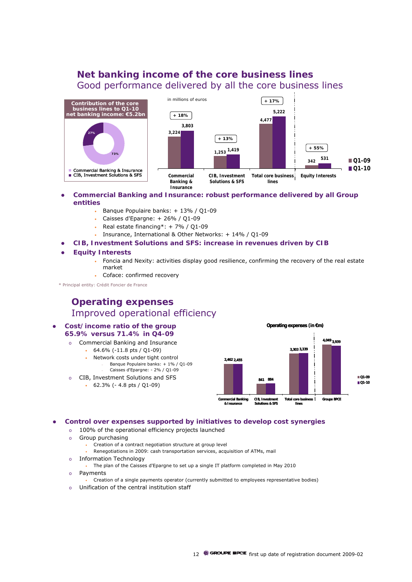### **Net banking income of the core business lines** Good performance delivered by all the core business lines



#### **Commercial Banking and Insurance: robust performance delivered by all Group entities**

- Banque Populaire banks: + 13% / Q1-09
- Caisses d'Epargne:  $+26\%$  / Q1-09
- Real estate financing\*: + 7% / Q1-09
- Insurance, International & Other Networks: + 14% / Q1-09
- z **CIB, Investment Solutions and SFS: increase in revenues driven by CIB**
- z **Equity Interests**
	- Foncia and Nexity: activities display good resilience, confirming the recovery of the real estate market
	- Coface: confirmed recovery

\* Principal entity: Crédit Foncier de France

### **Operating expenses** Improved operational efficiency

#### **•** Cost/income ratio of the group **65.9% versus 71.4% in Q4-09**

- o Commercial Banking and Insurance
	- 64.6% (-11.8 pts / Q1-09)
		- Network costs under tight control – Banque Populaire banks: + 1% / Q1-09 – Caisses d'Epargne: - 2% / Q1-09
- o CIB, Investment Solutions and SFS
	- 62.3% (- 4.8 pts / Q1-09)



**•** Control over expenses supported by initiatives to develop cost synergies

- o 100% of the operational efficiency projects launched
- o Group purchasing
	- Creation of a contract negotiation structure at group level
	- Renegotiations in 2009: cash transportation services, acquisition of ATMs, mail
- o Information Technology
	- The plan of the Caisses d'Epargne to set up a single IT platform completed in May 2010
- o Payments
	- Creation of a single payments operator (currently submitted to employees representative bodies)
- o Unification of the central institution staff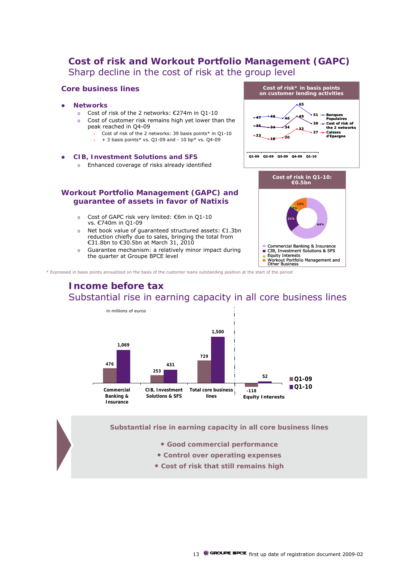### **Cost of risk and Workout Portfolio Management (GAPC)** Sharp decline in the cost of risk at the group level

#### **Core business lines**

- z **Networks**
	- o Cost of risk of the 2 networks: €274m in Q1-10
	- o Cost of customer risk remains high yet lower than the peak reached in Q4-09
		- Cost of risk of the 2 networks: 39 basis points\* in Q1-10
		- + 3 basis points\* vs. Q1-09 and 10 bp\* vs. Q4-09

#### z **CIB, Investment Solutions and SFS**

o Enhanced coverage of risks already identified



**21%**

Equity Interests

Commercial Banking & Insurance CIB, Investment Solutions & SFS

Workout Portfolio Management and Other Business

**64%**

#### **Workout Portfolio Management (GAPC) and guarantee of assets in favor of Natixis**

- o Cost of GAPC risk very limited: €6m in Q1-10 vs. €740m in Q1-09
- Net book value of guaranteed structured assets:  $€1.3$ bn reduction chiefly due to sales, bringing the total from €31.8bn to €30.5bn at March 31, 2010
- o Guarantee mechanism: a relatively minor impact during the quarter at Groupe BPCE level

\* Expressed in basis points annualized on the basis of the customer loans outstanding position at the start of the period

### **Income before tax** Substantial rise in earning capacity in all core business lines



**Substantial rise in earning capacity in all core business lines**

- **Good commercial performance**
- **Control over operating expenses**
- **Cost of risk that still remains high**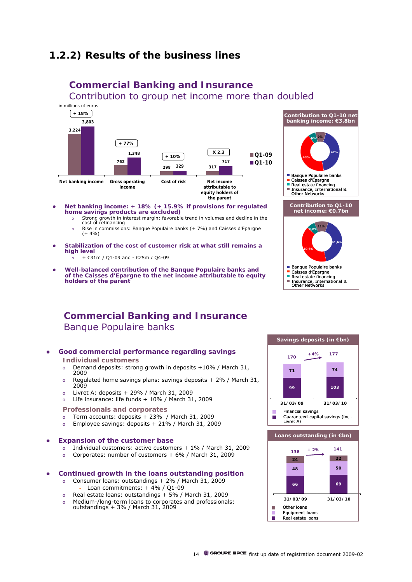## **1.2.2) Results of the business lines**



### **Commercial Banking and Insurance**

Contribution to group net income more than doubled

- **•** Net banking income: + 18% (+ 15.9% if provisions for regulated **home savings products are excluded)**
	- o Strong growth in interest margin: favorable trend in volumes and decline in the cost of refinancing
	- o Rise in commissions: Banque Populaire banks (+ 7%) and Caisses d'Epargne  $(+ 4\%)$
- Stabilization of the cost of customer risk at what still remains a **high level**
	- + €31m / Q1-09 and €25m / Q4-09
- z **Well-balanced contribution of the Banque Populaire banks and of the Caisses d'Epargne to the net income attributable to equity holders of the parent**



### **Commercial Banking and Insurance** Banque Populaire banks



- 2009
- o Regulated home savings plans: savings deposits + 2% / March 31, 2009
- o Livret A: deposits + 29% / March 31, 2009
- o Life insurance: life funds + 10% / March 31, 2009
- **Professionals and corporates**
- o Term accounts: deposits + 23% / March 31, 2009
- o Employee savings: deposits + 21% / March 31, 2009

#### **Expansion of the customer base**

- o Individual customers: active customers + 1% / March 31, 2009
- o Corporates: number of customers + 6% / March 31, 2009

#### z **Continued growth in the loans outstanding position**

- o Consumer loans: outstandings + 2% / March 31, 2009
	- Loan commitments:  $+ 4\% / Q1 09$
- o Real estate loans: outstandings + 5% / March 31, 2009
- o Medium-/long-term loans to corporates and professionals: outstandings  $+ 3%$  / March 31, 2009



Ē

Equipment loans Real estate loans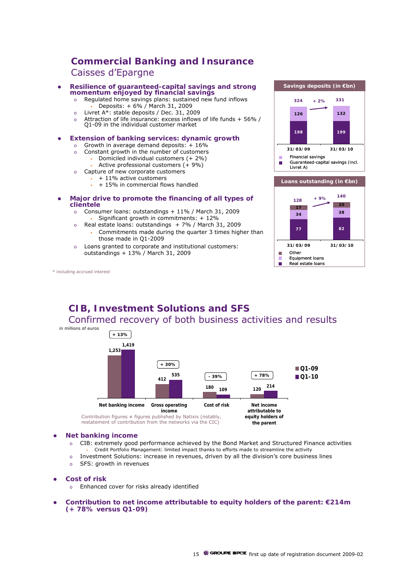### **Commercial Banking and Insurance** Caisses d'Epargne

- **Resilience of guaranteed-capital savings and strong momentum enjoyed by financial savings**
	- o Regulated home savings plans: sustained new fund inflows • Deposits: + 6% / March 31, 2009
	- o Livret A\*: stable deposits / Dec. 31, 2009
	- o Attraction of life insurance: excess inflows of life funds + 56% / Q1-09 in the individual customer market
	-
- **Extension of banking services: dynamic growth** 
	- o Growth in average demand deposits:  $+16\%$
	- o Constant growth in the number of customers
		- Domiciled individual customers (+ 2%)
		- Active professional customers  $(+ 9\%)$
	- o Capture of new corporate customers • + 11% active customers
		- + 15% in commercial flows handled
- **•** Major drive to promote the financing of all types of **clientele**
	- o Consumer loans: outstandings + 11% / March 31, 2009 • Significant growth in commitments: + 12%
	- o Real estate loans: outstandings + 7% / March 31, 2009
		- Commitments made during the quarter 3 times higher than those made in Q1-2009
	- o Loans granted to corporate and institutional customers: outstandings + 13% / March 31, 2009

\* including accrued interest



### **CIB, Investment Solutions and SFS**  Confirmed recovery of both business activities and results *in millions of euros*



restatement of contribution from the networks via the CIC)

#### **•** Net banking income

- o CIB: extremely good performance achieved by the Bond Market and Structured Finance activities • Credit Portfolio Management: limited impact thanks to efforts made to streamline the activity
- o Investment Solutions: increase in revenues, driven by all the division's core business lines
- o SFS: growth in revenues
- **Cost of risk** 
	- o Enhanced cover for risks already identified
- Contribution to net income attributable to equity holders of the parent: €214m **(+ 78% versus Q1-09)**

**the parent**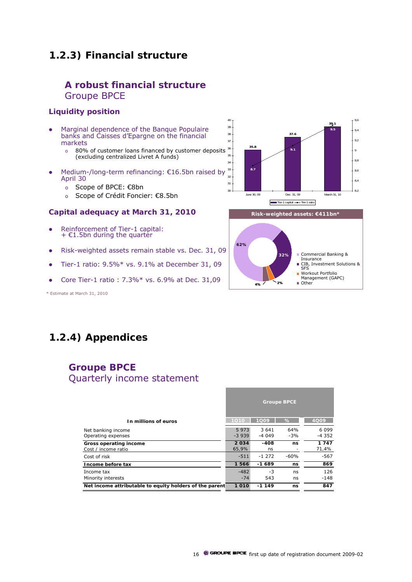### **1.2.3) Financial structure**

### **A robust financial structure** Groupe BPCE

### **Liquidity position**

- Marginal dependence of the Banque Populaire banks and Caisses d'Epargne on the financial markets
	- o 80% of customer loans financed by customer deposits (excluding centralized Livret A funds)
- Medium-/long-term refinancing: €16.5bn raised by April 30
	- o Scope of BPCE: €8bn
	- o Scope of Crédit Foncier: €8.5bn

#### **Capital adequacy at March 31, 2010**

- Reinforcement of Tier-1 capital:  $+$   $E1.5$ bn during the quarter
- Risk-weighted assets remain stable vs. Dec. 31, 09
- $\bullet$  Tier-1 ratio: 9.5%\* vs. 9.1% at December 31, 09
- Core Tier-1 ratio :  $7.3\%*$  vs.  $6.9\%$  at Dec.  $31,09$

\* Estimate at March 31, 2010





# **1.2.4) Appendices**

### **Groupe BPCE** Quarterly income statement

|                                                         |                 |                  | <b>Groupe BPCE</b> |                     |
|---------------------------------------------------------|-----------------|------------------|--------------------|---------------------|
| In millions of euros                                    | 1010            | 1009             | %                  | 4Q09                |
| Net banking income<br>Operating expenses                | 5973<br>$-3939$ | 3 641<br>$-4049$ | 64%<br>$-3%$       | 6 0 9 9<br>$-4.352$ |
| Gross operating income<br>Cost / income ratio           | 2034<br>65.9%   | $-408$<br>ns     | ns                 | 1747<br>71,4%       |
| Cost of risk                                            | $-511$          | $-1272$          | $-60%$             | $-567$              |
| Income before tax                                       | 1566            | $-1689$          | ns                 | 869                 |
| Income tax<br>Minority interests                        | $-482$<br>$-74$ | -3<br>543        | ns<br>ns           | 126<br>$-148$       |
| Net income attributable to equity holders of the parent | 1010            | $-1149$          | ns                 | 847                 |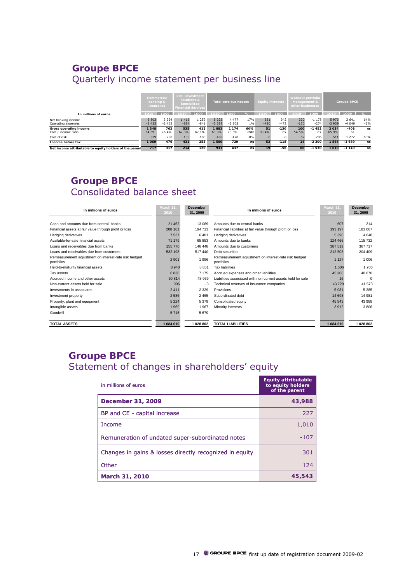## **Groupe BPCE** Quarterly income statement per business line

|                                                         | Commercial<br>banking &<br>Insurance |                    | <b>CIB. Investment</b><br>Solutions &<br>Specialized<br><b>Financial Services</b> |                 | <b>Total core businesses</b> |                    |                | <b>Equity interests</b> |               | Workout portfolio<br>management &<br>other businesses |                   | <b>Groupe BPCE</b> |                    |              |
|---------------------------------------------------------|--------------------------------------|--------------------|-----------------------------------------------------------------------------------|-----------------|------------------------------|--------------------|----------------|-------------------------|---------------|-------------------------------------------------------|-------------------|--------------------|--------------------|--------------|
| In millions of euros                                    |                                      | 1009               | 1010                                                                              | 1Q09            | 1010                         | 1009               | $\%$           |                         | 1Q09          | 1010                                                  | 1009              | 1010               | 1009               | %            |
| Net banking income<br>Operating expenses                | 3 8 0 3<br>$-2455$                   | 3 2 2 4<br>$-2462$ | 1419<br>$-884$                                                                    | 1 253<br>$-841$ | 5 2 2 2<br>$-3339$           | 4 4 7 7<br>$-3303$ | 17%<br>$1\%$   | 531<br>$-480$           | 342<br>$-472$ | 220<br>$-120$                                         | $-1178$<br>$-274$ | 5973<br>$-3939$    | 3 6 4 1<br>$-4049$ | 64%<br>$-3%$ |
| Gross operating income<br>Cost / income ratio           | 1348<br>64.6%                        | 762<br>76.4%       | 535<br>62.3%                                                                      | 412<br>67.1%    | 1883<br>63.9%                | 1 1 7 4<br>73.8%   | 60%<br>$-984%$ | 51<br>90.4%             | $-130$<br>ns  | 100<br>54.5%                                          | $-1452$<br>ns     | 2034<br>65.9%      | $-408$<br>ns       | ns           |
| Cost of risk                                            | $-329$                               | $-298$             | $-109$                                                                            | $-180$          | $-438$                       | $-478$             | $-8%$          |                         | -8            | $-67$                                                 | $-786$            | $-511$             | $-1272$            | $-60%$       |
| Income before tax                                       | 1069                                 | 476                | 431                                                                               | 253             | 1 500                        | 729                | ns             | 52                      | $-118$        | 14                                                    | $-2300$           | 1566               | $-1689$            | ns           |
| Net income attributable to equity holders of the parent | 717                                  | 317                | 214                                                                               | 120             | 931                          | 437                | ns             | 19                      | $-56$         | 60                                                    | $-1530$           | 1010               | $-1149$            | ns           |

### **Groupe BPCE** Consolidated balance sheet

| In millions of euros                                                | March 31.<br>2010 | <b>December</b><br>31, 2009 | In millions of euros                                                | March 31.<br>2010 | <b>December</b><br>31, 2009 |
|---------------------------------------------------------------------|-------------------|-----------------------------|---------------------------------------------------------------------|-------------------|-----------------------------|
|                                                                     |                   |                             |                                                                     |                   |                             |
| Cash and amounts due from central banks                             | 21 4 6 2          | 13 069                      | Amounts due to central banks                                        | 607               | 214                         |
| Financial assets at fair value through profit or loss               | 208 161           | 194 713                     | Financial liabilities at fair value through profit or loss          | 193 197           | 183 067                     |
| Hedging derivatives                                                 | 7537              | 6481                        | Hedging derivatives                                                 | 5 3 9 8           | 4648                        |
| Available-for-sale financial assets                                 | 71 179            | 65 853                      | Amounts due to banks                                                | 124 466           | 115 732                     |
| Loans and receivables due from banks                                | 155 770           | 146 448                     | Amounts due to customers                                            | 387 519           | 367 717                     |
| Loans and receivables due from customers                            | 532 198           | 517440                      | Debt securities                                                     | 212 503           | 204 409                     |
| Remeasurement adjustment on interest-rate risk hedged<br>portfolios | 2 9 0 1           | 1996                        | Remeasurement adjustment on interest-rate risk hedged<br>portfolios | 1 1 2 7           | 1 006                       |
| Held-to-maturity financial assets                                   | 8 9 4 0           | 8 8 5 1                     | <b>Tax liabilities</b>                                              | 1 506             | 1 706                       |
| Tax assets                                                          | 6838              | 7 1 7 5                     | Accrued expenses and other liabilities                              | 45 30 8           | 40 670                      |
| Accrued income and other assets                                     | 50 814            | 48 969                      | Liabilities associated with non-current assets held for sale        | 16                | $\Omega$                    |
| Non-current assets held for sale                                    | 906               | -3                          | Technical reserves of insurance companies                           | 43729             | 41 573                      |
| Investments in associates                                           | 2411              | 2 3 2 9                     | Provisions                                                          | 5 0 8 1           | 5 2 8 5                     |
| Investment property                                                 | 2 5 8 6           | 2 4 6 5                     | Subordinated debt                                                   | 14 698            | 14 981                      |
| Property, plant and equipment                                       | 5 2 2 4           | 5379                        | Consolidated equity                                                 | 45 543            | 43 988                      |
| Intangible assets                                                   | 1969              | 1967                        | Minority interests                                                  | 3912              | 3806                        |
| Goodwill                                                            | 5715              | 5670                        |                                                                     |                   |                             |
|                                                                     |                   |                             |                                                                     |                   |                             |
| <b>TOTAL ASSETS</b>                                                 | 1084 610          | 1 028 802                   | <b>TOTAL LIABILITIES</b>                                            | 1084 610          | 1 028 802                   |

## **Groupe BPCE**  Statement of changes in shareholders' equity

| in millions of euros                                    | <b>Equity attributable</b><br>to equity holders<br>of the parent |
|---------------------------------------------------------|------------------------------------------------------------------|
| December 31, 2009                                       | 43,988                                                           |
| BP and CE - capital increase                            | 227                                                              |
| Income                                                  | 1,010                                                            |
| Remuneration of undated super-subordinated notes        | $-107$                                                           |
| Changes in gains & losses directly recognized in equity | 301                                                              |
| Other                                                   | 124                                                              |
| March 31, 2010                                          | 45,543                                                           |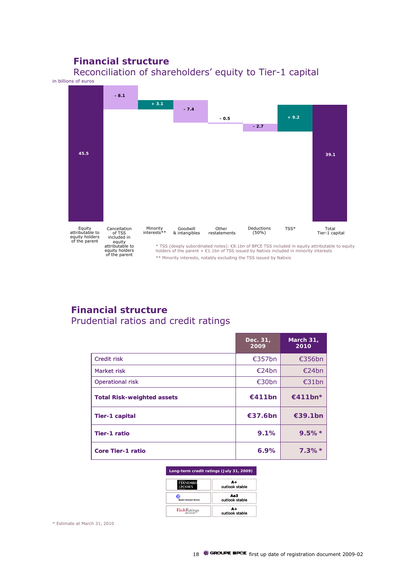### **Financial structure**



Reconciliation of shareholders' equity to Tier-1 capital in billions of euros

### **Financial structure**  Prudential ratios and credit ratings

|                                   | Dec. 31,<br>2009 | March 31,<br>2010 |
|-----------------------------------|------------------|-------------------|
| Credit risk                       | €357bn           | €356bn            |
| Market risk                       | E24bn            | E24bn             |
| <b>Operational risk</b>           | €30bn            | €31bn             |
| <b>Total Risk-weighted assets</b> | €411bn           | €411bn*           |
| <b>Tier-1 capital</b>             | €37.6bn          | €39.1bn           |
| <b>Tier-1 ratio</b>               | 9.1%             | $9.5\%*$          |
| <b>Core Tier-1 ratio</b>          | 6.9%             | $7.3\%*$          |

#### **Long-term credit ratings (July 31, 2009)**

| <b>TANDARD</b>      | $\mathbf{A} +$<br>outlook stable |
|---------------------|----------------------------------|
|                     | Aa3<br>outlook stable            |
| <b>FitchRatings</b> | $A+$<br>outlook stable           |

\* Estimate at March 31, 2010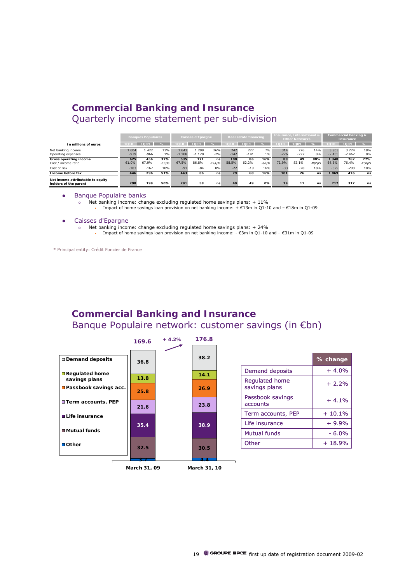### **Commercial Banking and Insurance** Quarterly income statement per sub-division

|                                                            |                | <b>Banques Populaires</b> |                   |                  | <b>Caisses d'Epargne</b> |                   |               | Real estate financing |                     |               | <b>Insurance, International &amp;</b><br><b>Other Networks</b> |                    |                 | Commercial banking &<br>Insurance |                    |  |
|------------------------------------------------------------|----------------|---------------------------|-------------------|------------------|--------------------------|-------------------|---------------|-----------------------|---------------------|---------------|----------------------------------------------------------------|--------------------|-----------------|-----------------------------------|--------------------|--|
| In millions of euros                                       |                | 1009                      | ℅                 |                  | 1Q09                     |                   |               | 1Q09                  |                     |               | 1009                                                           | ℅                  |                 | 1Q09                              | $\%$               |  |
| Net banking income<br>Operating expenses                   | 1604<br>$-979$ | 1422<br>$-966$            | 13%<br>1%         | 1 643<br>$-1108$ | 1 299<br>$-1128$         | 26%<br>$-2%$      | 242<br>$-142$ | 227<br>$-141$         | 7%<br>$1\%$         | 314<br>$-226$ | 276<br>$-227$                                                  | 14%<br>0%          | 3803<br>$-2455$ | 3 2 2 4<br>$-2462$                | 18%<br>0%          |  |
| Gross operating income<br>Cost / income ratio              | 625<br>61.0%   | 456<br>67.9%              | 37%<br>$-6.9$ pls | 535<br>67,5%     | 171<br>86.8%             | ns<br>$-19.4$ pls | 100<br>58.5%  | 86<br>62.2%           | 16%<br>$-3.8$ $DIS$ | 88<br>71.9%   | 49<br>82.1%                                                    | 80%<br>$-10.2$ pts | 348<br>64,6%    | 762<br>76,4%                      | 77%<br>$-11,8$ pts |  |
| Cost of risk                                               | $-183$         | $-167$                    | 10%               | $-91$            | $-84$                    | 8%                | $-22$         | $-19$                 | 16%                 | $-33$         | $-28$                                                          | 18%                | $-329$          | $-298$                            | 10%                |  |
| Income before tax                                          | 446            | 296                       | 51%               | 443              | 86                       | ns                | 79            | 68                    | 16%                 | 101           | 26                                                             | ns                 | 1069            | 476                               | ns                 |  |
| Net income attributable to equity<br>holders of the parent | 298            | 199                       | 50%               | 291              | 58                       | ns                | 49            | 49                    | 0%                  | 79            | 11                                                             | ns                 | 717             | 317                               | ns                 |  |

#### Banque Populaire banks

o Net banking income: change excluding regulated home savings plans: + 11% • Impact of home savings loan provision on net banking income: + €13m in Q1-10 and – €18m in Q1-09

#### Caisses d'Epargne

- o Net banking income: change excluding regulated home savings plans: + 24%
	- Impact of home savings loan provision on net banking income: €3m in Q1-10 and €31m in Q1-09

\* Principal entity: Crédit Foncier de France

### **Commercial Banking and Insurance** Banque Populaire network: customer savings (in €bn)



|                                        | % change |
|----------------------------------------|----------|
| Demand deposits                        | $+4.0%$  |
| <b>Regulated home</b><br>savings plans | $+2.2%$  |
| Passbook savings<br>accounts           | $+4.1%$  |
| Term accounts, PEP                     | $+10.1%$ |
| Life insurance                         | $+9.9%$  |
| Mutual funds                           | $-6.0%$  |
| Other                                  | $+18.9%$ |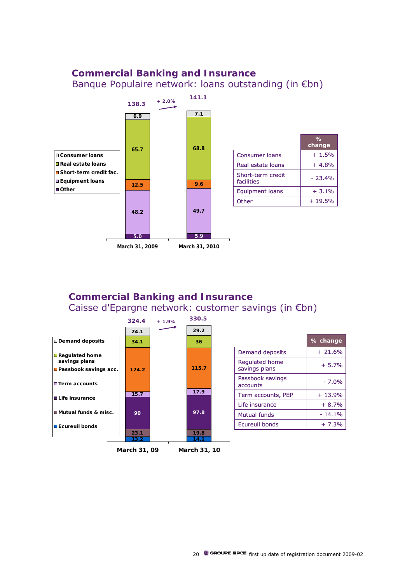### **Commercial Banking and Insurance** Banque Populaire network: loans outstanding (in €bn)



### **Commercial Banking and Insurance** Caisse d'Epargne network: customer savings (in €bn)



**% change**

> + 4.8% + 1.5%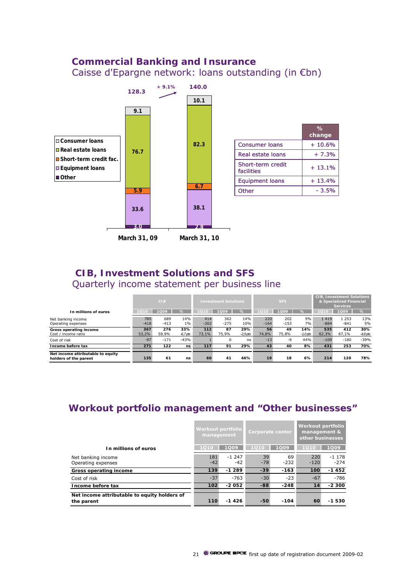### **Commercial Banking and Insurance** Caisse d'Epargne network: loans outstanding (in €bn)



### **CIB, Investment Solutions and SFS** Quarterly income statement per business line

|                                                            |               | <b>Investment Solutions</b><br><b>CIB</b> |                   |                |               |                   |               | <b>CIB, Investment Solutions</b><br>& Specialized Financial<br><b>Services</b> |                   |                |                   |                   |
|------------------------------------------------------------|---------------|-------------------------------------------|-------------------|----------------|---------------|-------------------|---------------|--------------------------------------------------------------------------------|-------------------|----------------|-------------------|-------------------|
| In millions of euros                                       |               | 1009                                      | $\frac{9}{6}$     |                | 1009          | $\%$              |               | 1009                                                                           | $\frac{9}{6}$     |                | 1009              | %                 |
| Net banking income<br>Operating expenses                   | 785<br>$-418$ | 689<br>$-413$                             | 14%<br>1%         | 414<br>$-302$  | 362<br>$-275$ | 14%<br>10%        | 220<br>$-164$ | 202<br>$-153$                                                                  | 9%<br>7%          | 1419<br>$-884$ | 1 2 5 3<br>$-841$ | 13%<br>5%         |
| Gross operating income<br>Cost / income ratio              | 367<br>53.2%  | 276<br>59.9%                              | 33%<br>$-6.7$ pts | $112$<br>73.1% | 87<br>75.9%   | 29%<br>$-2.9$ pts | 56<br>74.8%   | 49<br>75.8%                                                                    | 14%<br>$-1.0$ pts | 535<br>62.3%   | 412<br>67.1%      | 30%<br>$-4,8$ pts |
| Cost of risk                                               | $-97$         | $-171$                                    | $-43%$            |                |               | ns                | $-13$         | -9                                                                             | 44%               | $-109$         | $-180$            | $-39%$            |
| Income before tax                                          | 271           | 122                                       | ns                | 117            | 91            | 29%               | 43            | 40                                                                             | 8%                | 431            | 253               | 70%               |
| Net income attributable to equity<br>holders of the parent | 135           | 61                                        | ns                | 60             | 41            | 46%               | 19            | 18                                                                             | 6%                | 214            | 120               | 78%               |

### **Workout portfolio management and "Other businesses"**

|                                                            | Workout portfolio<br>management |                    | Corporate center |              | Workout portfolio<br>management &<br>other businesses |                   |
|------------------------------------------------------------|---------------------------------|--------------------|------------------|--------------|-------------------------------------------------------|-------------------|
| In millions of euros                                       | 1010                            | 1009               | 1010             | 1009         | 1010                                                  | 1Q09              |
| Net banking income<br>Operating expenses                   | 181<br>$-42$                    | $-1, 247$<br>$-42$ | 39<br>$-78$      | 69<br>$-232$ | 220<br>$-120$                                         | $-1178$<br>$-274$ |
| Gross operating income                                     | 139                             | $-1289$            | $-39$            | $-163$       | 100                                                   | $-1452$           |
| Cost of risk                                               | $-37$                           | $-763$             | $-30$            | $-23$        | $-67$                                                 | $-786$            |
| Income before tax                                          | 102                             | $-2052$            | -88              | $-248$       | 14                                                    | $-2300$           |
| Net income attributable to equity holders of<br>the parent | 110                             | $-1426$            | $-50$            | $-104$       | 60                                                    | 530<br>-1         |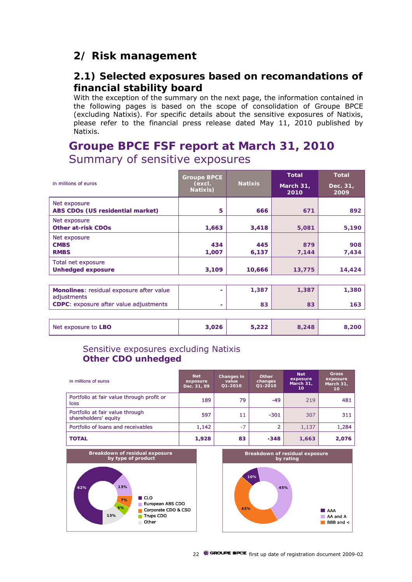# **2/ Risk management**

### **2.1) Selected exposures based on recomandations of financial stability board**

With the exception of the summary on the next page, the information contained in the following pages is based on the scope of consolidation of Groupe BPCE (excluding Natixis). For specific details about the sensitive exposures of Natixis, please refer to the financial press release dated May 11, 2010 published by .<br>Natixis.

# **Groupe BPCE FSF report at March 31, 2010** Summary of sensitive exposures

| in millions of euros                                                                                     | <b>Groupe BPCE</b><br>(excl.<br>Natixis) | <b>Natixis</b> | <b>Total</b><br>March 31,<br>2010 | <b>Total</b><br>Dec. 31,<br>2009 |
|----------------------------------------------------------------------------------------------------------|------------------------------------------|----------------|-----------------------------------|----------------------------------|
| Net exposure<br><b>ABS CDOs (US residential market)</b>                                                  | 5                                        | 666            | 671                               | 892                              |
| Net exposure<br><b>Other at-risk CDOs</b>                                                                | 1,663                                    | 3,418          | 5,081                             | 5,190                            |
| Net exposure<br><b>CMBS</b><br><b>RMBS</b>                                                               | 434<br>1,007                             | 445<br>6,137   | 879<br>7,144                      | 908<br>7,434                     |
| Total net exposure<br><b>Unhedged exposure</b>                                                           | 3,109                                    | 10,666         | 13,775                            | 14,424                           |
|                                                                                                          |                                          |                |                                   |                                  |
| Monolines: residual exposure after value<br>adjustments<br><b>CDPC:</b> exposure after value adjustments | ۰                                        | 1,387<br>83    | 1,387<br>83                       | 1,380<br>163                     |

| Net exposure to LBO | 3,026 | りつつ りょうかん うちのう しょうかい<br>J,ZZZ | 8.248 |  |
|---------------------|-------|-------------------------------|-------|--|
|---------------------|-------|-------------------------------|-------|--|

### Sensitive exposures excluding Natixis **Other CDO unhedged**

| in millions of euros                                    | <b>Net</b><br>exposure<br>Dec. 31, 09 | Changes in<br>value<br>01-2010 | Other<br>changes<br>01-2010 | <b>Net</b><br>exposure<br>March 31.<br>10 | <b>Gross</b><br>exposure<br>March 31,<br>10 <sup>°</sup> |
|---------------------------------------------------------|---------------------------------------|--------------------------------|-----------------------------|-------------------------------------------|----------------------------------------------------------|
| Portfolio at fair value through profit or<br>loss       | 189                                   | 79                             | $-49$                       | 219                                       | 481                                                      |
| Portfolio at fair value through<br>shareholders' equity | 597                                   | 11                             | $-301$                      | 307                                       | 311                                                      |
| Portfolio of loans and receivables                      | 1.142                                 | $-7$                           |                             | 1.137                                     | 1,284                                                    |
| <b>TOTAL</b>                                            | 1,928                                 | 83                             | $-348$                      | 1,663                                     | 2,076                                                    |

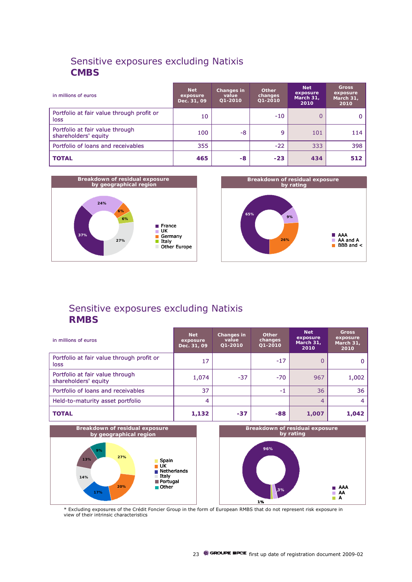### Sensitive exposures excluding Natixis **CMBS**

| in millions of euros                                    | <b>Net</b><br>exposure<br>Dec. 31, 09 | Changes in<br>value<br>Q1-2010 | Other<br>changes<br>Q1-2010 | <b>Net</b><br>exposure<br>March 31,<br>2010 | <b>Gross</b><br>exposure<br>March 31,<br>2010 |
|---------------------------------------------------------|---------------------------------------|--------------------------------|-----------------------------|---------------------------------------------|-----------------------------------------------|
| Portfolio at fair value through profit or<br>loss       | 10                                    |                                | $-10$                       | 0                                           |                                               |
| Portfolio at fair value through<br>shareholders' equity | 100                                   | -8                             | 9                           | 101                                         | 114                                           |
| Portfolio of loans and receivables                      | 355                                   |                                | $-22$                       | 333                                         | 398                                           |
| <b>TOTAL</b>                                            | 465                                   | -8                             | $-23$                       | 434                                         | 512                                           |





# Sensitive exposures excluding Natixis **RMBS**

| in millions of euros                                    | <b>Net</b><br>exposure<br>Dec. 31, 09 | Changes in<br>value<br>$Q1 - 2010$ | <b>Other</b><br>changes<br>Q1-2010 | <b>Net</b><br>exposure<br>March 31,<br>2010 | <b>Gross</b><br>exposure<br>March 31.<br>2010 |
|---------------------------------------------------------|---------------------------------------|------------------------------------|------------------------------------|---------------------------------------------|-----------------------------------------------|
| Portfolio at fair value through profit or<br>loss       | 17                                    |                                    | $-17$                              | 0                                           |                                               |
| Portfolio at fair value through<br>shareholders' equity | 1,074                                 | $-37$                              | $-70$                              | 967                                         | 1,002                                         |
| Portfolio of loans and receivables                      | 37                                    |                                    | $-1$                               | 36                                          | 36                                            |
| Held-to-maturity asset portfolio                        | 4                                     |                                    |                                    | 4                                           | 4                                             |
| <b>TOTAL</b>                                            | 1,132                                 | $-37$                              | $-88$                              | 1,007                                       | 1,042                                         |



\* Excluding exposures of the Crédit Foncier Group in the form of European RMBS that do not represent risk exposure in view of their intrinsic characteristics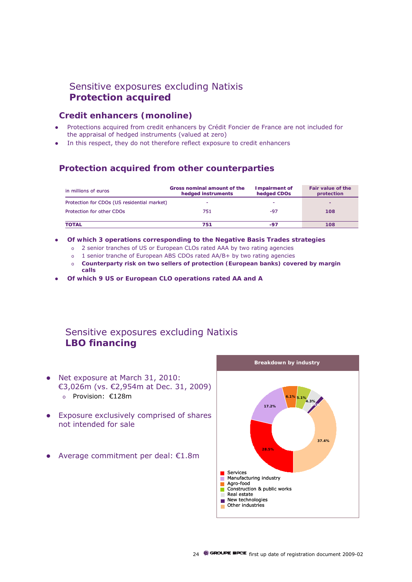### Sensitive exposures excluding Natixis **Protection acquired**

### **Credit enhancers (monoline)**

- Protections acquired from credit enhancers by Crédit Foncier de France are not included for the appraisal of hedged instruments (valued at zero)
- In this respect, they do not therefore reflect exposure to credit enhancers

### **Protection acquired from other counterparties**

| in millions of euros                        | Gross nominal amount of the<br>hedged instruments | <b>Impairment of</b><br>hedged CDOs | Fair value of the<br>protection |
|---------------------------------------------|---------------------------------------------------|-------------------------------------|---------------------------------|
| Protection for CDOs (US residential market) | -                                                 | -                                   |                                 |
| Protection for other CDOs                   | 751                                               | -97                                 | 108                             |
|                                             |                                                   |                                     |                                 |
| <b>TOTAL</b>                                | 751                                               | -97                                 | 108                             |

- z **Of which 3 operations corresponding to the Negative Basis Trades strategies**
	- o 2 senior tranches of US or European CLOs rated AAA by two rating agencies
	- o 1 senior tranche of European ABS CDOs rated AA/B+ by two rating agencies
	- o **Counterparty risk on two sellers of protection (European banks) covered by margin calls**
- z **Of which 9 US or European CLO operations rated AA and A**

### Sensitive exposures excluding Natixis **LBO financing**

- Net exposure at March 31, 2010: €3,026m (vs. €2,954m at Dec. 31, 2009) o Provision: €128m
- Exposure exclusively comprised of shares not intended for sale
- Average commitment per deal:  $£1.8m$

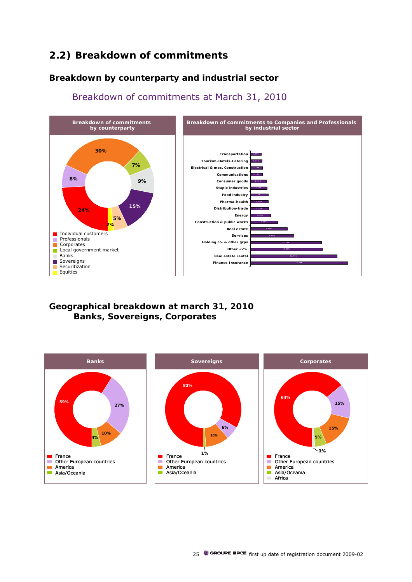# **2.2) Breakdown of commitments**

### **Breakdown by counterparty and industrial sector**



Breakdown of commitments at March 31, 2010

**Geographical breakdown at march 31, 2010 Banks, Sovereigns, Corporates** 

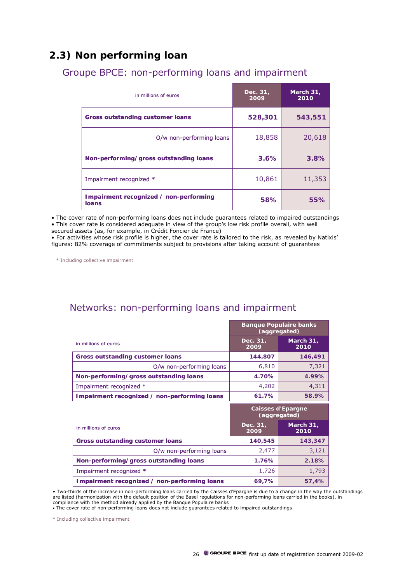## **2.3) Non performing loan**

| in millions of euros                            | Dec. 31,<br>2009 | March 31,<br>2010 |
|-------------------------------------------------|------------------|-------------------|
| <b>Gross outstanding customer loans</b>         | 528,301          | 543,551           |
| O/w non-performing loans                        | 18,858           | 20,618            |
| Non-performing/gross outstanding loans          | 3.6%             | 3.8%              |
| Impairment recognized *                         | 10,861           | 11,353            |
| Impairment recognized / non-performing<br>loans | 58%              | 55%               |

Groupe BPCE: non-performing loans and impairment

• The cover rate of non-performing loans does not include guarantees related to impaired outstandings • This cover rate is considered adequate in view of the group's low risk profile overall, with well secured assets (as, for example, in Crédit Foncier de France)

• For activities whose risk profile is higher, the cover rate is tailored to the risk, as revealed by Natixis' figures: 82% coverage of commitments subject to provisions after taking account of guarantees

\* Including collective impairment

### Networks: non-performing loans and impairment

|                                              | <b>Banque Populaire banks</b><br>(aggregated) |                                          |
|----------------------------------------------|-----------------------------------------------|------------------------------------------|
| in millions of euros                         | Dec. 31,<br>2009                              | March 31,<br>2010                        |
| <b>Gross outstanding customer loans</b>      | 144,807                                       | 146,491                                  |
| O/w non-performing loans                     | 6,810                                         | 7,321                                    |
| Non-performing/gross outstanding loans       | 4.70%                                         | 4.99%                                    |
| Impairment recognized *                      | 4,202                                         | 4,311                                    |
| Impairment recognized / non-performing loans | 61.7%                                         | 58.9%                                    |
|                                              |                                               |                                          |
|                                              |                                               | <b>Caisses d'Epargne</b><br>(aggregated) |
| in millions of euros                         | Dec. 31,<br>2009                              | March 31,<br>2010                        |
| <b>Gross outstanding customer loans</b>      | 140,545                                       | 143,347                                  |
| O/w non-performing loans                     | 2,477                                         | 3,121                                    |
| Non-performing/gross outstanding loans       | 1.76%                                         | 2.18%                                    |
| Impairment recognized *                      | 1,726                                         | 1,793                                    |

• Two-thirds of the increase in non-performing loans carried by the Caisses d'Epargne is due to a change in the way the outstandings are listed (harmonization with the default position of the Basel regulations for non-performing loans carried in the books), in<br>compliance with the method already applied by the Banque Populaire banks

• The cover rate of non-performing loans does not include guarantees related to impaired outstandings

\* Including collective impairment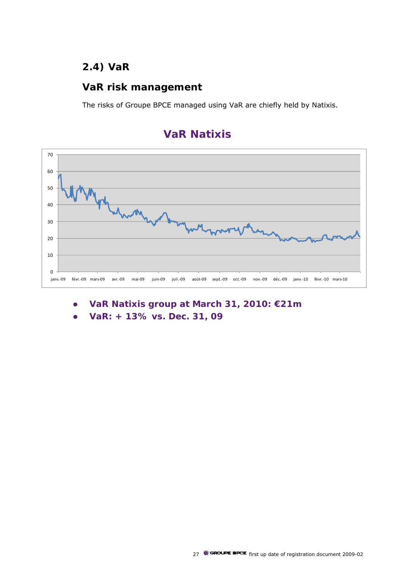## **2.4) VaR**

### **VaR risk management**

The risks of Groupe BPCE managed using VaR are chiefly held by Natixis.



# **VaR Natixis**

- **•** VaR Natixis group at March 31, 2010: €21m
- z **VaR: + 13% vs. Dec. 31, 09**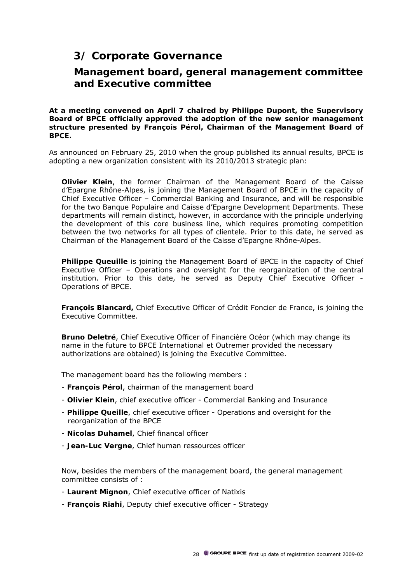## **3/ Corporate Governance**

### **Management board, general management committee and Executive committee**

**At a meeting convened on April 7 chaired by Philippe Dupont, the Supervisory Board of BPCE officially approved the adoption of the new senior management structure presented by François Pérol, Chairman of the Management Board of BPCE.** 

As announced on February 25, 2010 when the group published its annual results, BPCE is adopting a new organization consistent with its 2010/2013 strategic plan:

**Olivier Klein**, the former Chairman of the Management Board of the Caisse d'Epargne Rhône-Alpes, is joining the Management Board of BPCE in the capacity of Chief Executive Officer – Commercial Banking and Insurance, and will be responsible for the two Banque Populaire and Caisse d'Epargne Development Departments. These departments will remain distinct, however, in accordance with the principle underlying the development of this core business line, which requires promoting competition between the two networks for all types of clientele. Prior to this date, he served as Chairman of the Management Board of the Caisse d'Epargne Rhône-Alpes.

**Philippe Queuille** is joining the Management Board of BPCE in the capacity of Chief Executive Officer – Operations and oversight for the reorganization of the central institution. Prior to this date, he served as Deputy Chief Executive Officer - Operations of BPCE.

**François Blancard,** Chief Executive Officer of Crédit Foncier de France, is joining the Executive Committee.

**Bruno Deletré**, Chief Executive Officer of Financière Océor (which may change its name in the future to BPCE International et Outremer provided the necessary authorizations are obtained) is joining the Executive Committee.

The management board has the following members :

- **François Pérol**, chairman of the management board
- **Olivier Klein**, chief executive officer Commercial Banking and Insurance
- **Philippe Queille**, chief executive officer Operations and oversight for the reorganization of the BPCE
- **Nicolas Duhamel**, Chief financal officer
- **Jean-Luc Vergne**, Chief human ressources officer

Now, besides the members of the management board, the general management committee consists of :

- **Laurent Mignon**, Chief executive officer of Natixis
- **François Riahi**, Deputy chief executive officer Strategy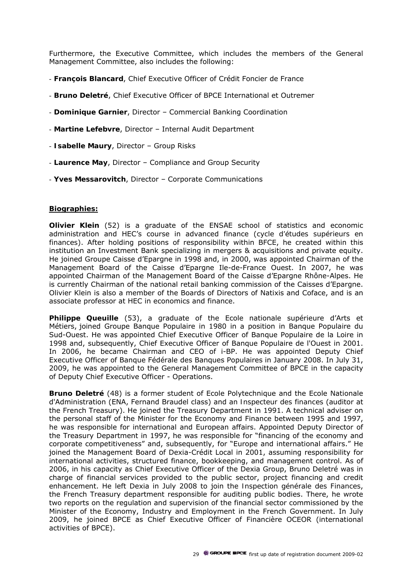Furthermore, the Executive Committee, which includes the members of the General Management Committee, also includes the following:

- **François Blancard**, Chief Executive Officer of Crédit Foncier de France
- **Bruno Deletré**, Chief Executive Officer of BPCE International et Outremer
- **Dominique Garnier**, Director Commercial Banking Coordination
- **Martine Lefebvre**, Director Internal Audit Department
- **Isabelle Maury**, Director Group Risks
- **Laurence May**, Director Compliance and Group Security
- **Yves Messarovitch**, Director Corporate Communications

#### **Biographies:**

**Olivier Klein** (52) is a graduate of the ENSAE school of statistics and economic administration and HEC's course in advanced finance (*cycle d'études supérieurs en finances*). After holding positions of responsibility within BFCE, he created within this institution an Investment Bank specializing in mergers & acquisitions and private equity. He joined Groupe Caisse d'Epargne in 1998 and, in 2000, was appointed Chairman of the Management Board of the Caisse d'Epargne Ile-de-France Ouest. In 2007, he was appointed Chairman of the Management Board of the Caisse d'Epargne Rhône-Alpes. He is currently Chairman of the national retail banking commission of the Caisses d'Epargne. Olivier Klein is also a member of the Boards of Directors of Natixis and Coface, and is an associate professor at HEC in economics and finance.

**Philippe Queuille** (53), a graduate of the Ecole nationale supérieure d'Arts et Métiers, joined Groupe Banque Populaire in 1980 in a position in Banque Populaire du Sud-Ouest. He was appointed Chief Executive Officer of Banque Populaire de la Loire in 1998 and, subsequently, Chief Executive Officer of Banque Populaire de l'Ouest in 2001. In 2006, he became Chairman and CEO of i-BP. He was appointed Deputy Chief Executive Officer of Banque Fédérale des Banques Populaires in January 2008. In July 31, 2009, he was appointed to the General Management Committee of BPCE in the capacity of Deputy Chief Executive Officer - Operations.

**Bruno Deletré** (48) is a former student of Ecole Polytechnique and the Ecole Nationale d'Administration (ENA, Fernand Braudel class) and an *Inspecteur des finances* (auditor at the French Treasury). He joined the Treasury Department in 1991. A technical adviser on the personal staff of the Minister for the Economy and Finance between 1995 and 1997, he was responsible for international and European affairs. Appointed Deputy Director of the Treasury Department in 1997, he was responsible for "financing of the economy and corporate competitiveness" and, subsequently, for "Europe and international affairs." He joined the Management Board of Dexia-Crédit Local in 2001, assuming responsibility for international activities, structured finance, bookkeeping, and management control. As of 2006, in his capacity as Chief Executive Officer of the Dexia Group, Bruno Deletré was in charge of financial services provided to the public sector, project financing and credit enhancement. He left Dexia in July 2008 to join the *Inspection générale des Finances*, the French Treasury department responsible for auditing public bodies. There, he wrote two reports on the regulation and supervision of the financial sector commissioned by the Minister of the Economy, Industry and Employment in the French Government. In July 2009, he joined BPCE as Chief Executive Officer of Financière OCEOR (international activities of BPCE).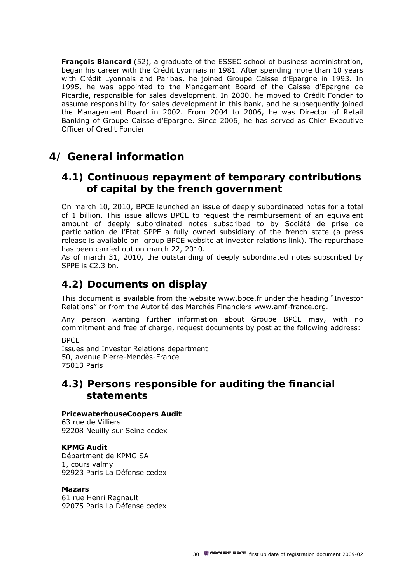**François Blancard** (52), a graduate of the ESSEC school of business administration, began his career with the Crédit Lyonnais in 1981. After spending more than 10 years with Crédit Lyonnais and Paribas, he joined Groupe Caisse d'Epargne in 1993. In 1995, he was appointed to the Management Board of the Caisse d'Epargne de Picardie, responsible for sales development. In 2000, he moved to Crédit Foncier to assume responsibility for sales development in this bank, and he subsequently joined the Management Board in 2002. From 2004 to 2006, he was Director of Retail Banking of Groupe Caisse d'Epargne. Since 2006, he has served as Chief Executive Officer of Crédit Foncier

## **4/ General information**

### **4.1) Continuous repayment of temporary contributions of capital by the french government**

On march 10, 2010, BPCE launched an issue of deeply subordinated notes for a total of 1 billion. This issue allows BPCE to request the reimbursement of an equivalent amount of deeply subordinated notes subscribed to by Société de prise de participation de l'Etat SPPE a fully owned subsidiary of the french state (a press release is available on group BPCE website at investor relations link). The repurchase has been carried out on march 22, 2010.

As of march 31, 2010, the outstanding of deeply subordinated notes subscribed by SPPE is €2.3 bn.

### **4.2) Documents on display**

This document is available from the website www.bpce.f*r* under the heading "Investor Relations" or from the Autorité des Marchés Financiers www.amf-france.org*.*

Any person wanting further information about Groupe BPCE may, with no commitment and free of charge, request documents by post at the following address:

**BPCF** 

Issues and Investor Relations department 50, avenue Pierre-Mendès-France 75013 Paris

### **4.3) Persons responsible for auditing the financial statements**

### **PricewaterhouseCoopers Audit**

63 rue de Villiers 92208 Neuilly sur Seine cedex

### **KPMG Audit**

Départment de KPMG SA 1, cours valmy 92923 Paris La Défense cedex

#### **Mazars**

61 rue Henri Regnault 92075 Paris La Défense cedex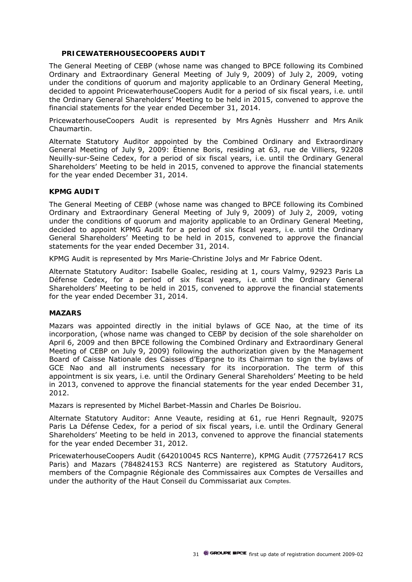### **PRICEWATERHOUSECOOPERS AUDIT**

The General Meeting of CEBP (whose name was changed to BPCE following its Combined Ordinary and Extraordinary General Meeting of July 9, 2009) of July 2, 2009, voting under the conditions of quorum and majority applicable to an Ordinary General Meeting, decided to appoint PricewaterhouseCoopers Audit for a period of six fiscal years, *i.e.* until the Ordinary General Shareholders' Meeting to be held in 2015, convened to approve the financial statements for the year ended December 31, 2014.

PricewaterhouseCoopers Audit is represented by Mrs Agnès Hussherr and Mrs Anik Chaumartin.

Alternate Statutory Auditor appointed by the Combined Ordinary and Extraordinary General Meeting of July 9, 2009: Étienne Boris, residing at 63, rue de Villiers, 92208 Neuilly-sur-Seine Cedex, for a period of six fiscal years, *i.e.* until the Ordinary General Shareholders' Meeting to be held in 2015, convened to approve the financial statements for the year ended December 31, 2014.

#### **KPMG AUDIT**

The General Meeting of CEBP (whose name was changed to BPCE following its Combined Ordinary and Extraordinary General Meeting of July 9, 2009) of July 2, 2009, voting under the conditions of quorum and majority applicable to an Ordinary General Meeting, decided to appoint KPMG Audit for a period of six fiscal years, *i.e.* until the Ordinary General Shareholders' Meeting to be held in 2015, convened to approve the financial statements for the year ended December 31, 2014.

KPMG Audit is represented by Mrs Marie-Christine Jolys and Mr Fabrice Odent.

Alternate Statutory Auditor: Isabelle Goalec, residing at 1, cours Valmy, 92923 Paris La Défense Cedex, for a period of six fiscal years, *i.e.* until the Ordinary General Shareholders' Meeting to be held in 2015, convened to approve the financial statements for the year ended December 31, 2014.

#### **MAZARS**

Mazars was appointed directly in the initial bylaws of GCE Nao, at the time of its incorporation, (whose name was changed to CEBP by decision of the sole shareholder on April 6, 2009 and then BPCE following the Combined Ordinary and Extraordinary General Meeting of CEBP on July 9, 2009) following the authorization given by the Management Board of Caisse Nationale des Caisses d'Epargne to its Chairman to sign the bylaws of GCE Nao and all instruments necessary for its incorporation. The term of this appointment is six years, *i.e.* until the Ordinary General Shareholders' Meeting to be held in 2013, convened to approve the financial statements for the year ended December 31, 2012.

Mazars is represented by Michel Barbet-Massin and Charles De Boisriou.

Alternate Statutory Auditor: Anne Veaute, residing at 61, rue Henri Regnault, 92075 Paris La Défense Cedex, for a period of six fiscal years, *i.e.* until the Ordinary General Shareholders' Meeting to be held in 2013, convened to approve the financial statements for the year ended December 31, 2012.

PricewaterhouseCoopers Audit (642010045 RCS Nanterre), KPMG Audit (775726417 RCS Paris) and Mazars (784824153 RCS Nanterre) are registered as Statutory Auditors, members of the Compagnie Régionale des Commissaires aux Comptes de Versailles and under the authority of the Haut Conseil du Commissariat aux Comptes.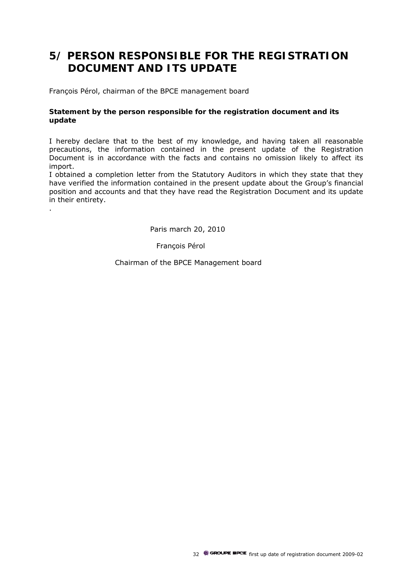# **5/ PERSON RESPONSIBLE FOR THE REGISTRATION DOCUMENT AND ITS UPDATE**

François Pérol, chairman of the BPCE management board

.

### **Statement by the person responsible for the registration document and its update**

I hereby declare that to the best of my knowledge, and having taken all reasonable precautions, the information contained in the present update of the Registration Document is in accordance with the facts and contains no omission likely to affect its import.

I obtained a completion letter from the Statutory Auditors in which they state that they have verified the information contained in the present update about the Group's financial position and accounts and that they have read the Registration Document and its update in their entirety.

Paris march 20, 2010

François Pérol

Chairman of the BPCE Management board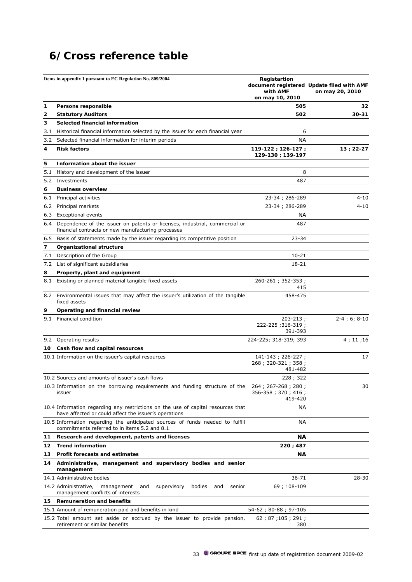# **6/Cross reference table**

|     | Items in appendix 1 pursuant to EC Regulation No. 809/2004                                                                                | Registartion<br>with AMF<br>on may 10, 2010         | document registered Update filed with AMF<br>on may 20, 2010 |
|-----|-------------------------------------------------------------------------------------------------------------------------------------------|-----------------------------------------------------|--------------------------------------------------------------|
| 1   | Persons responsible                                                                                                                       | 505                                                 | 32                                                           |
| 2   | <b>Statutory Auditors</b>                                                                                                                 | 502                                                 | 30-31                                                        |
| 3   | Selected financial information                                                                                                            |                                                     |                                                              |
| 3.1 | Historical financial information selected by the issuer for each financial year                                                           | 6                                                   |                                                              |
| 3.2 | Selected financial information for interim periods                                                                                        | <b>NA</b>                                           |                                                              |
| 4   | <b>Risk factors</b>                                                                                                                       | $119-122; 126-127;$<br>129-130; 139-197             | $13; 22-27$                                                  |
| 5   | Information about the issuer                                                                                                              |                                                     |                                                              |
|     | 5.1 History and development of the issuer                                                                                                 | 8                                                   |                                                              |
|     | 5.2 Investments                                                                                                                           | 487                                                 |                                                              |
| 6   | <b>Business overview</b>                                                                                                                  |                                                     |                                                              |
|     | 6.1 Principal activities                                                                                                                  | 23-34; 286-289                                      | 4-10                                                         |
|     | 6.2 Principal markets                                                                                                                     | 23-34; 286-289                                      | 4-10                                                         |
|     | 6.3 Exceptional events                                                                                                                    | <b>NA</b>                                           |                                                              |
|     | 6.4 Dependence of the issuer on patents or licenses, industrial, commercial or<br>financial contracts or new manufacturing processes      | 487                                                 |                                                              |
|     | 6.5 Basis of statements made by the issuer regarding its competitive position                                                             | $23 - 34$                                           |                                                              |
| 7   | Organizational structure                                                                                                                  |                                                     |                                                              |
| 7.1 | Description of the Group                                                                                                                  | $10 - 21$                                           |                                                              |
|     | 7.2 List of significant subsidiaries                                                                                                      | 18-21                                               |                                                              |
| 8   | Property, plant and equipment                                                                                                             |                                                     |                                                              |
|     | 8.1 Existing or planned material tangible fixed assets                                                                                    | 260-261; 352-353;<br>415                            |                                                              |
|     | 8.2 Environmental issues that may affect the issuer's utilization of the tangible<br>fixed assets                                         | 458-475                                             |                                                              |
| 9   | Operating and financial review                                                                                                            |                                                     |                                                              |
|     | 9.1 Financial condition                                                                                                                   | $203 - 213$ ;<br>222-225;316-319;<br>391-393        | $2 - 4$ ; 6; 8-10                                            |
| 9.2 | Operating results                                                                                                                         | 224-225; 318-319; 393                               | 4; 11; 16                                                    |
| 10  | Cash flow and capital resources                                                                                                           |                                                     |                                                              |
|     | 10.1 Information on the issuer's capital resources                                                                                        | 141-143; 226-227;<br>268; 320-321; 358;<br>481-482  | 17                                                           |
|     | 10.2 Sources and amounts of issuer's cash flows                                                                                           | 228; 322                                            |                                                              |
|     | 10.3 Information on the borrowing requirements and funding structure of the<br>issuer                                                     | 264; 267-268; 280;<br>356-358; 370; 416;<br>419-420 | 30                                                           |
|     | 10.4 Information regarding any restrictions on the use of capital resources that<br>have affected or could affect the issuer's operations | NА                                                  |                                                              |
|     | 10.5 Information regarding the anticipated sources of funds needed to fulfill<br>commitments referred to in items 5.2 and 8.1             | <b>NA</b>                                           |                                                              |
| 11  | Research and development, patents and licenses                                                                                            | ΝA                                                  |                                                              |
| 12  | <b>Trend information</b>                                                                                                                  | 220 ; 487                                           |                                                              |
| 13  | Profit forecasts and estimates                                                                                                            | <b>NA</b>                                           |                                                              |
| 14  | Administrative, management and supervisory bodies and senior<br>management                                                                |                                                     |                                                              |
|     | 14.1 Administrative bodies                                                                                                                | $36 - 71$                                           | 28-30                                                        |
|     | 14.2 Administrative,<br>management<br>bodies<br>and<br>supervisory<br>and<br>senior<br>management conflicts of interests                  | 69; 108-109                                         |                                                              |
| 15  | <b>Remuneration and benefits</b>                                                                                                          |                                                     |                                                              |
|     | 15.1 Amount of remuneration paid and benefits in kind                                                                                     | 54-62; 80-88; 97-105                                |                                                              |
|     | 15.2 Total amount set aside or accrued by the issuer to provide pension,<br>retirement or similar benefits                                | 62; 87; 105; 291;<br>380                            |                                                              |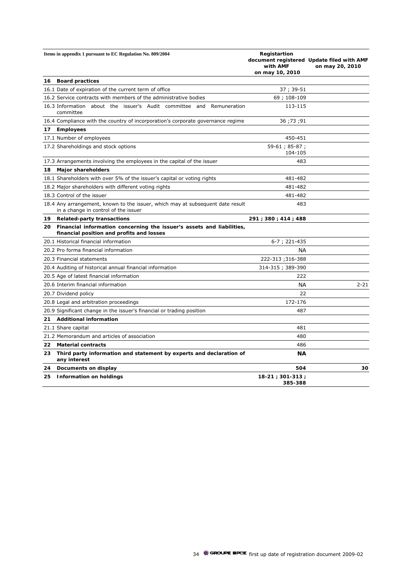|     | Items in appendix 1 pursuant to EC Regulation No. 809/2004                                                             | Registartion<br>with AMF<br>on may 10, 2010 | document registered Update filed with AMF<br>on may 20, 2010 |
|-----|------------------------------------------------------------------------------------------------------------------------|---------------------------------------------|--------------------------------------------------------------|
| 16  | <b>Board practices</b>                                                                                                 |                                             |                                                              |
|     | 16.1 Date of expiration of the current term of office                                                                  | 37; 39-51                                   |                                                              |
|     | 16.2 Service contracts with members of the administrative bodies                                                       | 69; 108-109                                 |                                                              |
|     | 16.3 Information about the issuer's Audit committee and Remuneration<br>committee                                      | 113-115                                     |                                                              |
|     | 16.4 Compliance with the country of incorporation's corporate governance regime                                        | 36; 73; 91                                  |                                                              |
| 17. | <b>Employees</b>                                                                                                       |                                             |                                                              |
|     | 17.1 Number of employees                                                                                               | 450-451                                     |                                                              |
|     | 17.2 Shareholdings and stock options                                                                                   | 59-61; 85-87;<br>104-105                    |                                                              |
|     | 17.3 Arrangements involving the employees in the capital of the issuer                                                 | 483                                         |                                                              |
| 18  | <b>Major shareholders</b>                                                                                              |                                             |                                                              |
|     | 18.1 Shareholders with over 5% of the issuer's capital or voting rights                                                | 481-482                                     |                                                              |
|     | 18.2 Major shareholders with different voting rights                                                                   | 481-482                                     |                                                              |
|     | 18.3 Control of the issuer                                                                                             | 481-482                                     |                                                              |
|     | 18.4 Any arrangement, known to the issuer, which may at subsequent date result<br>in a change in control of the issuer | 483                                         |                                                              |
|     | 19 Related-party transactions                                                                                          | 291 ; 380 ; 414 ; 488                       |                                                              |
| 20  | Financial information concerning the issuer's assets and liabilities,<br>financial position and profits and losses     |                                             |                                                              |
|     | 20.1 Historical financial information                                                                                  | 6-7; 221-435                                |                                                              |
|     | 20.2 Pro forma financial information                                                                                   | <b>NA</b>                                   |                                                              |
|     | 20.3 Financial statements                                                                                              | 222-313;316-388                             |                                                              |
|     | 20.4 Auditing of historical annual financial information                                                               | 314-315; 389-390                            |                                                              |
|     | 20.5 Age of latest financial information                                                                               | 222                                         |                                                              |
|     | 20.6 Interim financial information                                                                                     | <b>NA</b>                                   | $2 - 21$                                                     |
|     | 20.7 Dividend policy                                                                                                   | 22                                          |                                                              |
|     | 20.8 Legal and arbitration proceedings                                                                                 | 172-176                                     |                                                              |
|     | 20.9 Significant change in the issuer's financial or trading position                                                  | 487                                         |                                                              |
| 21  | <b>Additional information</b>                                                                                          |                                             |                                                              |
|     | 21.1 Share capital                                                                                                     | 481                                         |                                                              |
|     | 21.2 Memorandum and articles of association                                                                            | 480                                         |                                                              |
| 22  | <b>Material contracts</b>                                                                                              | 486                                         |                                                              |
| 23  | Third party information and statement by experts and declaration of<br>any interest                                    | <b>NA</b>                                   |                                                              |
| 24  | Documents on display                                                                                                   | 504                                         | 30                                                           |
|     | 25 Information on holdings                                                                                             | $18-21; 301-313;$<br>385-388                |                                                              |